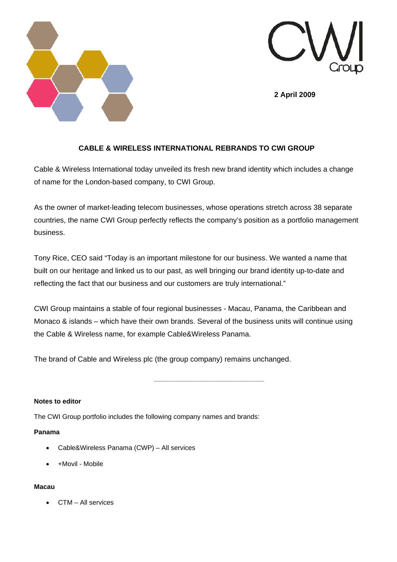



**2 April 2009** 

# **CABLE & WIRELESS INTERNATIONAL REBRANDS TO CWI GROUP**

Cable & Wireless International today unveiled its fresh new brand identity which includes a change of name for the London-based company, to CWI Group.

As the owner of market-leading telecom businesses, whose operations stretch across 38 separate countries, the name CWI Group perfectly reflects the company's position as a portfolio management business.

Tony Rice, CEO said "Today is an important milestone for our business. We wanted a name that built on our heritage and linked us to our past, as well bringing our brand identity up-to-date and reflecting the fact that our business and our customers are truly international."

CWI Group maintains a stable of four regional businesses - Macau, Panama, the Caribbean and Monaco & islands – which have their own brands. Several of the business units will continue using the Cable & Wireless name, for example Cable&Wireless Panama.

The brand of Cable and Wireless plc (the group company) remains unchanged.

**Notes to editor** 

The CWI Group portfolio includes the following company names and brands:

 *\_\_\_\_\_\_\_\_\_\_\_\_\_\_\_\_\_\_\_\_\_\_\_\_\_\_\_\_\_\_\_\_\_* 

## **Panama**

- Cable&Wireless Panama (CWP) All services
- +Movil Mobile

## **Macau**

• CTM – All services